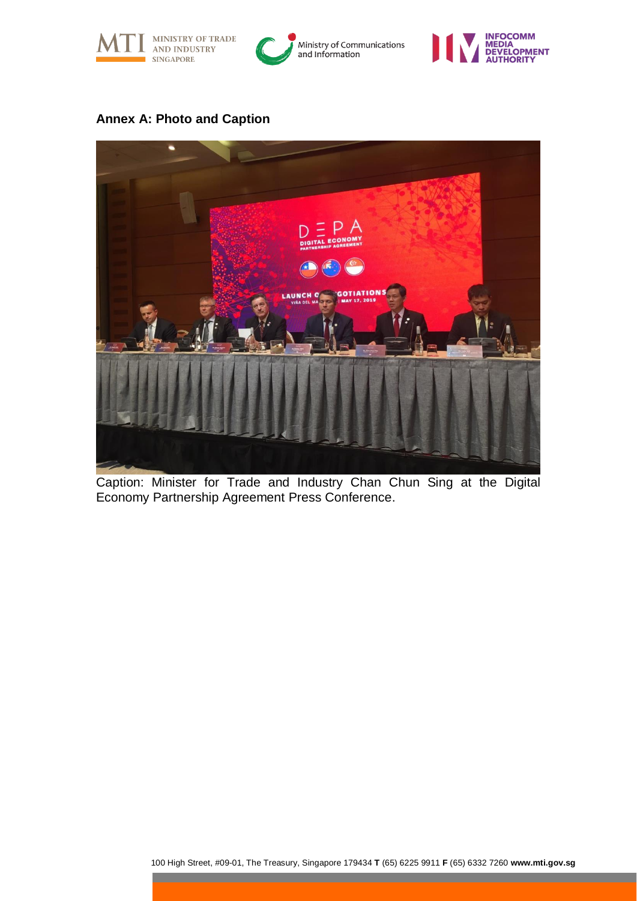





## **Annex A: Photo and Caption**



Caption: Minister for Trade and Industry Chan Chun Sing at the Digital Economy Partnership Agreement Press Conference.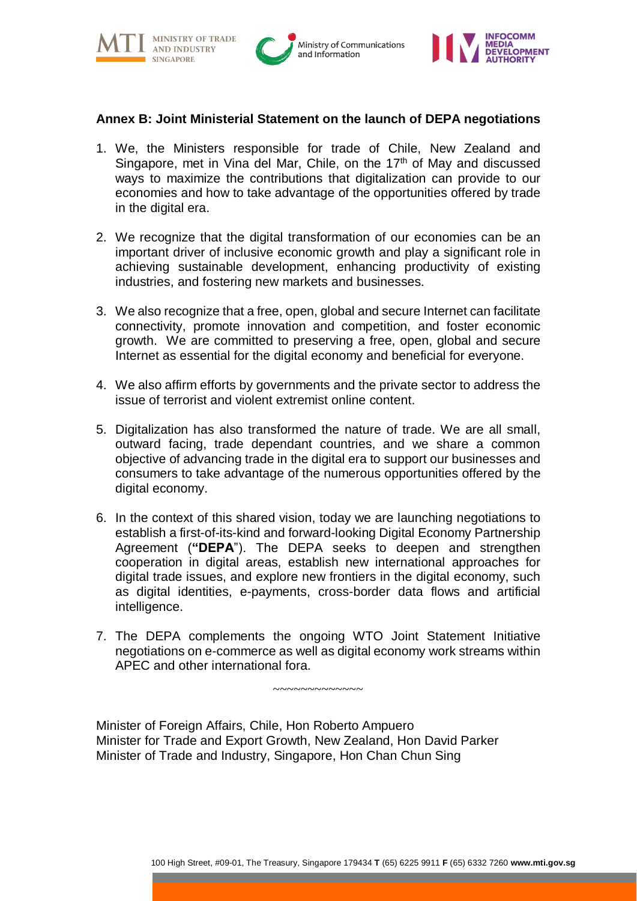

**MINISTRY OF TRADE AND INDUSTRY** 





## **Annex B: Joint Ministerial Statement on the launch of DEPA negotiations**

- 1. We, the Ministers responsible for trade of Chile, New Zealand and Singapore, met in Vina del Mar, Chile, on the 17<sup>th</sup> of May and discussed ways to maximize the contributions that digitalization can provide to our economies and how to take advantage of the opportunities offered by trade in the digital era.
- 2. We recognize that the digital transformation of our economies can be an important driver of inclusive economic growth and play a significant role in achieving sustainable development, enhancing productivity of existing industries, and fostering new markets and businesses.
- 3. We also recognize that a free, open, global and secure Internet can facilitate connectivity, promote innovation and competition, and foster economic growth. We are committed to preserving a free, open, global and secure Internet as essential for the digital economy and beneficial for everyone.
- 4. We also affirm efforts by governments and the private sector to address the issue of terrorist and violent extremist online content.
- 5. Digitalization has also transformed the nature of trade. We are all small, outward facing, trade dependant countries, and we share a common objective of advancing trade in the digital era to support our businesses and consumers to take advantage of the numerous opportunities offered by the digital economy.
- 6. In the context of this shared vision, today we are launching negotiations to establish a first-of-its-kind and forward-looking Digital Economy Partnership Agreement (**"DEPA**"). The DEPA seeks to deepen and strengthen cooperation in digital areas, establish new international approaches for digital trade issues, and explore new frontiers in the digital economy, such as digital identities, e-payments, cross-border data flows and artificial intelligence.
- 7. The DEPA complements the ongoing WTO Joint Statement Initiative negotiations on e-commerce as well as digital economy work streams within APEC and other international fora.

 $~\cdot$   $~\cdot$   $~\cdot$   $~\cdot$   $~\cdot$   $~\cdot$   $~\cdot$   $~\cdot$   $~\cdot$   $~\cdot$   $~\cdot$   $~\cdot$   $~\cdot$   $~\cdot$   $~\cdot$   $~\cdot$   $~\cdot$   $~\cdot$   $~\cdot$   $~\cdot$   $~\cdot$   $~\cdot$   $~\cdot$   $~\cdot$   $~\cdot$   $~\cdot$   $~\cdot$   $~\cdot$   $~\cdot$   $~\cdot$   $~\cdot$   $~\cdot$   $~\cdot$   $~\cdot$   $~\cdot$   $~\cdot$   $~\cdot$ 

Minister of Foreign Affairs, Chile, Hon Roberto Ampuero Minister for Trade and Export Growth, New Zealand, Hon David Parker Minister of Trade and Industry, Singapore, Hon Chan Chun Sing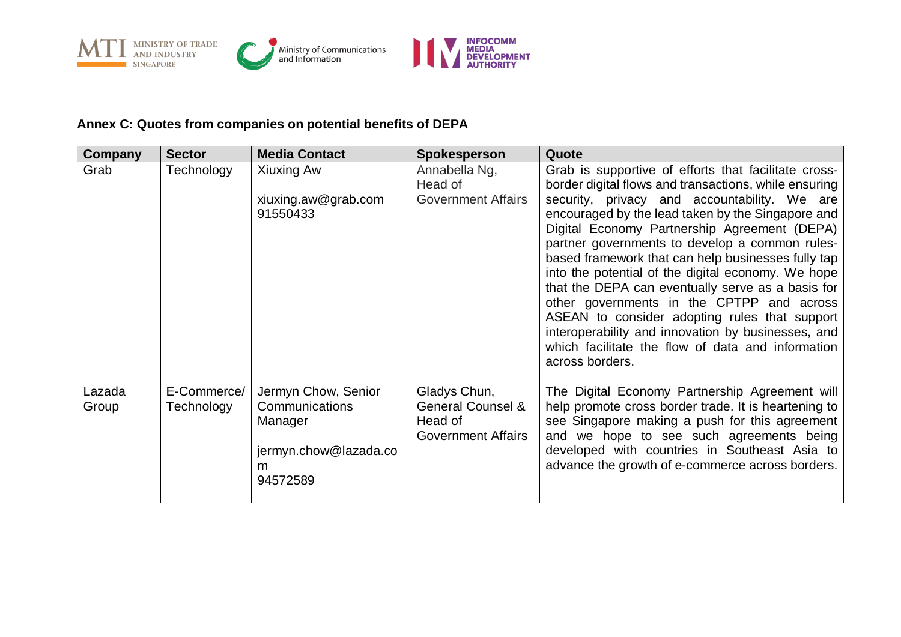

## **Annex C: Quotes from companies on potential benefits of DEPA**

| Company         | <b>Sector</b>             | <b>Media Contact</b>                                                                       | <b>Spokesperson</b>                                                                  | Quote                                                                                                                                                                                                                                                                                                                                                                                                                                                                                                                                                                                                                                                                                                             |
|-----------------|---------------------------|--------------------------------------------------------------------------------------------|--------------------------------------------------------------------------------------|-------------------------------------------------------------------------------------------------------------------------------------------------------------------------------------------------------------------------------------------------------------------------------------------------------------------------------------------------------------------------------------------------------------------------------------------------------------------------------------------------------------------------------------------------------------------------------------------------------------------------------------------------------------------------------------------------------------------|
| Grab            | Technology                | Xiuxing Aw<br>xiuxing.aw@grab.com<br>91550433                                              | Annabella Ng,<br>Head of<br><b>Government Affairs</b>                                | Grab is supportive of efforts that facilitate cross-<br>border digital flows and transactions, while ensuring<br>security, privacy and accountability. We are<br>encouraged by the lead taken by the Singapore and<br>Digital Economy Partnership Agreement (DEPA)<br>partner governments to develop a common rules-<br>based framework that can help businesses fully tap<br>into the potential of the digital economy. We hope<br>that the DEPA can eventually serve as a basis for<br>other governments in the CPTPP and across<br>ASEAN to consider adopting rules that support<br>interoperability and innovation by businesses, and<br>which facilitate the flow of data and information<br>across borders. |
| Lazada<br>Group | E-Commerce/<br>Technology | Jermyn Chow, Senior<br>Communications<br>Manager<br>jermyn.chow@lazada.co<br>m<br>94572589 | Gladys Chun,<br><b>General Counsel &amp;</b><br>Head of<br><b>Government Affairs</b> | The Digital Economy Partnership Agreement will<br>help promote cross border trade. It is heartening to<br>see Singapore making a push for this agreement<br>and we hope to see such agreements being<br>developed with countries in Southeast Asia to<br>advance the growth of e-commerce across borders.                                                                                                                                                                                                                                                                                                                                                                                                         |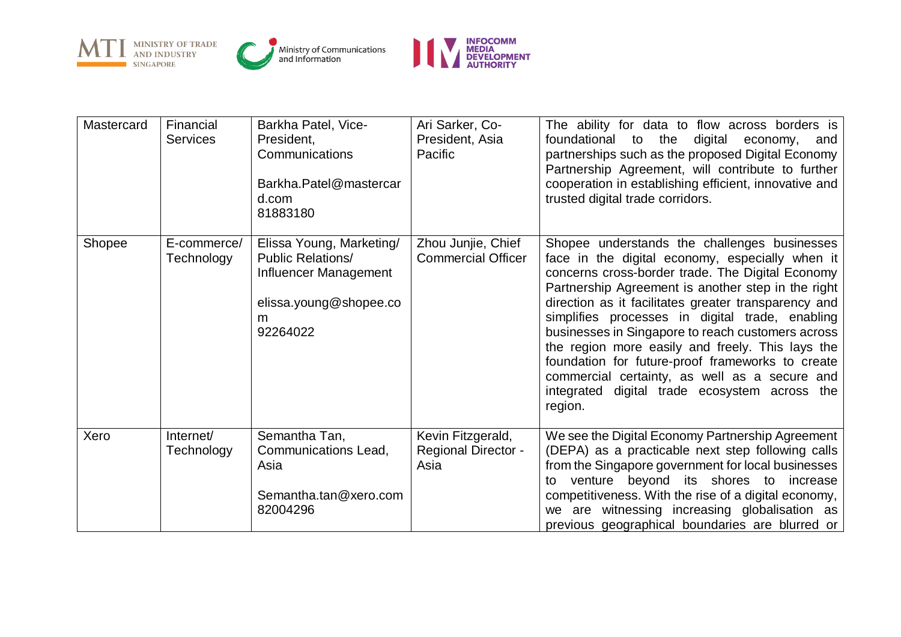

| Mastercard | Financial<br><b>Services</b> | Barkha Patel, Vice-<br>President,<br>Communications<br>Barkha.Patel@mastercar<br>d.com<br>81883180                       | Ari Sarker, Co-<br>President, Asia<br>Pacific           | The ability for data to flow across borders is<br>the<br>digital<br>foundational to<br>economy,<br>and<br>partnerships such as the proposed Digital Economy<br>Partnership Agreement, will contribute to further<br>cooperation in establishing efficient, innovative and<br>trusted digital trade corridors.                                                                                                                                                                                                                                                                                  |
|------------|------------------------------|--------------------------------------------------------------------------------------------------------------------------|---------------------------------------------------------|------------------------------------------------------------------------------------------------------------------------------------------------------------------------------------------------------------------------------------------------------------------------------------------------------------------------------------------------------------------------------------------------------------------------------------------------------------------------------------------------------------------------------------------------------------------------------------------------|
| Shopee     | E-commerce/<br>Technology    | Elissa Young, Marketing/<br><b>Public Relations/</b><br>Influencer Management<br>elissa.young@shopee.co<br>m<br>92264022 | Zhou Junjie, Chief<br><b>Commercial Officer</b>         | Shopee understands the challenges businesses<br>face in the digital economy, especially when it<br>concerns cross-border trade. The Digital Economy<br>Partnership Agreement is another step in the right<br>direction as it facilitates greater transparency and<br>simplifies processes in digital trade, enabling<br>businesses in Singapore to reach customers across<br>the region more easily and freely. This lays the<br>foundation for future-proof frameworks to create<br>commercial certainty, as well as a secure and<br>integrated digital trade ecosystem across the<br>region. |
| Xero       | Internet/<br>Technology      | Semantha Tan,<br>Communications Lead,<br>Asia<br>Semantha.tan@xero.com<br>82004296                                       | Kevin Fitzgerald,<br><b>Regional Director -</b><br>Asia | We see the Digital Economy Partnership Agreement<br>(DEPA) as a practicable next step following calls<br>from the Singapore government for local businesses<br>venture beyond its shores to increase<br>to<br>competitiveness. With the rise of a digital economy,<br>we are witnessing increasing globalisation as<br>previous geographical boundaries are blurred or                                                                                                                                                                                                                         |